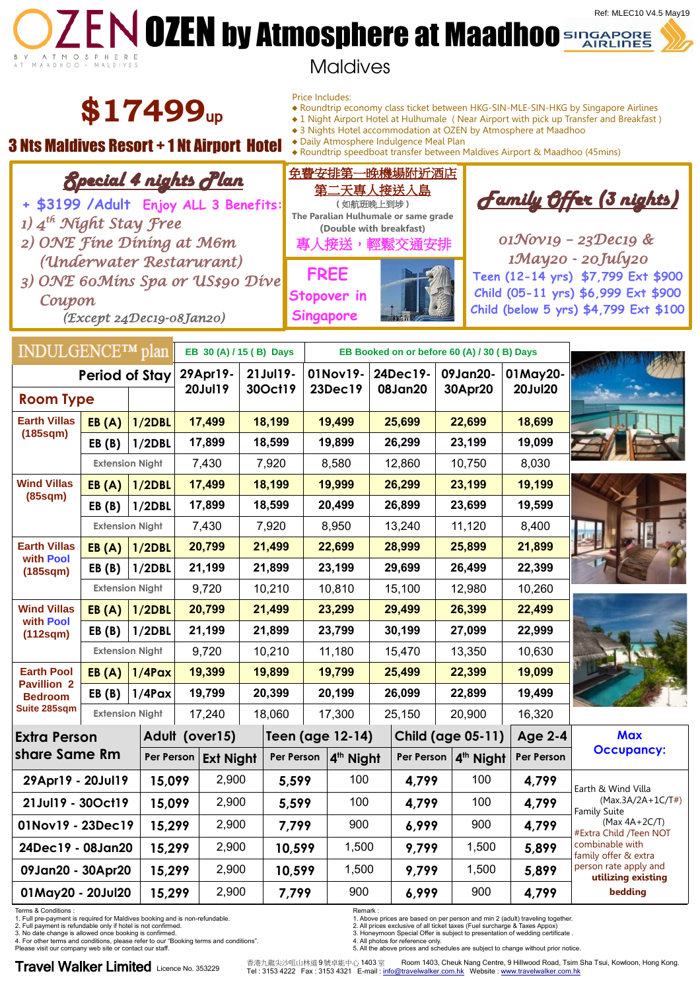# **OZEN DIEN by Atmosphere at Maadhoo** Sungapore Ref: MLEC10 V4.5 May19



# Maldives

**\$17499**up

Special 4 nights Plan

# **3 Nts Maldives Resort + 1 Nt Airport Hotel**  $\bullet$  Paily Atmosphere Indulgence Meal Plan  $\bullet$  Roundtrip speedboat transfer between Maldives Airport & Maadhoo (45mins)

Price Includes:

- ♦ Roundtrip economy class ticket between HKG-SIN-MLE-SIN-HKG by Singapore Airlines
- ♦ 1 Night Airport Hotel at Hulhumale ( Near Airport with pick up Transfer and Breakfast )
- ♦ 3 Nights Hotel accommodation at OZEN by Atmosphere at Maadhoo
- 

免費安排第一晚機場附近酒店 第二天專人接送入島

| + \$3199 / Adult Enjoy ALL 3 Benefits:<br>1) 4 <sup>th</sup> Night Stay Free<br>2) ONE Fine Dining at M6m<br>(Underwater Restarurant)<br>3) ONE 60Mins Spa or US\$90 Dive<br>Coupon<br>(Except 24Dec19-08Jan20)                 |                        |                        |                         |                  |                                             |            |                  | <u> 先一人守人技达人品</u><br>(如航班晚上到埗)<br>The Paralian Hulhumale or same grade<br>(Double with breakfast)<br>專人接送,<br>輕鬆交通安排<br><b>FREE</b><br>Stopover in<br><b>Singapore</b> |                |                          |         |                       | <u> Family Offer (3 nights)</u><br>$01\mathcal{N}ov19 - 23\mathcal{D}ec19$ &<br>1May20 - 20July20<br>Teen (12-14 yrs) \$7,799 Ext \$900<br>Child (05-11 yrs) \$6,999 Ext \$900<br>Child (below 5 yrs) \$4,799 Ext \$100                       |                                             |  |
|---------------------------------------------------------------------------------------------------------------------------------------------------------------------------------------------------------------------------------|------------------------|------------------------|-------------------------|------------------|---------------------------------------------|------------|------------------|------------------------------------------------------------------------------------------------------------------------------------------------------------------------|----------------|--------------------------|---------|-----------------------|-----------------------------------------------------------------------------------------------------------------------------------------------------------------------------------------------------------------------------------------------|---------------------------------------------|--|
| INDULGENCE™ plan                                                                                                                                                                                                                |                        |                        | EB 30 (A) / 15 (B) Days |                  | EB Booked on or before 60 (A) / 30 (B) Days |            |                  |                                                                                                                                                                        |                |                          |         |                       |                                                                                                                                                                                                                                               |                                             |  |
| Period of Stay                                                                                                                                                                                                                  |                        |                        | 29Apr19-<br>20Jul19     |                  | 21Jul19-                                    |            |                  | 01Nov19-                                                                                                                                                               | 24Dec19-       |                          |         | 09Jan20-              | 01May20-                                                                                                                                                                                                                                      |                                             |  |
| <b>Room Type</b>                                                                                                                                                                                                                |                        |                        |                         |                  | 30Oct19                                     |            | 23Dec19          |                                                                                                                                                                        | <b>08Jan20</b> |                          | 30Apr20 |                       | <b>20Jul20</b>                                                                                                                                                                                                                                |                                             |  |
| <b>Earth Villas</b><br>(185sqm)                                                                                                                                                                                                 | EB(A)                  | 1/2DBL                 | 17,499                  |                  | 18,199                                      |            | 19,499           |                                                                                                                                                                        | 25,699         |                          | 22,699  |                       | 18,699                                                                                                                                                                                                                                        |                                             |  |
|                                                                                                                                                                                                                                 | EB(B)                  | 1/2DBL                 | 17,899                  |                  | 18,599                                      |            | 19,899           |                                                                                                                                                                        |                | 26,299                   |         | 23,199                | 19,099                                                                                                                                                                                                                                        |                                             |  |
|                                                                                                                                                                                                                                 | <b>Extension Night</b> |                        | 7,430                   |                  | 7,920                                       |            | 8,580            |                                                                                                                                                                        |                | 12,860                   |         | 10,750                | 8,030                                                                                                                                                                                                                                         |                                             |  |
| <b>Wind Villas</b><br>(85sqm)                                                                                                                                                                                                   | EB(A)                  | 1/2DBL                 | 17,499                  |                  | 18,199                                      |            | 19,999           |                                                                                                                                                                        |                | 26,299                   |         | 23,199                | 19,199                                                                                                                                                                                                                                        |                                             |  |
|                                                                                                                                                                                                                                 | EB(B)                  | 1/2DBL                 | 17,899                  |                  | 18,599                                      |            | 20,499           |                                                                                                                                                                        |                | 26,899                   |         | 23,699                | 19,599                                                                                                                                                                                                                                        |                                             |  |
|                                                                                                                                                                                                                                 | <b>Extension Night</b> |                        | 7,430                   |                  | 7,920                                       |            | 8,950            |                                                                                                                                                                        |                | 13,240                   |         | 11,120                | 8,400                                                                                                                                                                                                                                         |                                             |  |
| <b>Earth Villas</b><br>with Pool<br>(185sqm)                                                                                                                                                                                    | EB(A)                  | 1/2DBL                 | 20,799                  |                  | 21,499                                      |            | 22,699           |                                                                                                                                                                        |                | 28,999                   |         | 25,899                | 21,899                                                                                                                                                                                                                                        |                                             |  |
|                                                                                                                                                                                                                                 | EB(B)                  | 1/2DBL                 | 21,199                  |                  | 21,899                                      |            | 23,199           |                                                                                                                                                                        |                | 29,699                   |         | 26,499                | 22,399                                                                                                                                                                                                                                        |                                             |  |
|                                                                                                                                                                                                                                 |                        | <b>Extension Night</b> |                         | 9,720            |                                             | 10,210     | 10,810           |                                                                                                                                                                        |                | 15,100                   |         | 12,980                | 10,260                                                                                                                                                                                                                                        |                                             |  |
| <b>Wind Villas</b><br>with Pool<br>(112sqm)                                                                                                                                                                                     | EB(A)                  | 1/2DBL                 | 20,799                  |                  | 21,499                                      |            | 23,299           |                                                                                                                                                                        |                | 29,499                   |         | 26,399                | 22,499                                                                                                                                                                                                                                        |                                             |  |
|                                                                                                                                                                                                                                 | EB(B)                  | 1/2DBL                 | 21,199                  |                  | 21,899                                      |            | 23,799           |                                                                                                                                                                        |                | 30,199                   |         | 27,099                | 22,999                                                                                                                                                                                                                                        |                                             |  |
|                                                                                                                                                                                                                                 | <b>Extension Night</b> |                        |                         | 9,720            | 10,210                                      |            |                  | 11,180                                                                                                                                                                 |                | 15,470                   |         | 13,350                | 10,630                                                                                                                                                                                                                                        |                                             |  |
| <b>Earth Pool</b><br><b>Pavillion 2</b><br><b>Bedroom</b>                                                                                                                                                                       | EB(A)                  | $1/4$ Pax              | 19,399                  |                  | 19,899                                      |            | 19,799           |                                                                                                                                                                        | 25,499         |                          | 22,399  |                       | 19,099                                                                                                                                                                                                                                        |                                             |  |
|                                                                                                                                                                                                                                 | EB(B)                  | $1/4$ Pax              |                         | 19,799           | 20,399                                      |            | 20,199           |                                                                                                                                                                        |                | 26,099                   |         | 22,899                | 19,499                                                                                                                                                                                                                                        |                                             |  |
| <b>Suite 285sgm</b>                                                                                                                                                                                                             |                        | <b>Extension Night</b> |                         | 17,240           |                                             | 18,060     | 17,300           |                                                                                                                                                                        | 25,150         |                          | 20,900  |                       | 16,320                                                                                                                                                                                                                                        |                                             |  |
| <b>Extra Person</b><br>share Same Rm<br>Per Person                                                                                                                                                                              |                        |                        | Adult (over15)          |                  |                                             |            | Teen (age 12-14) |                                                                                                                                                                        |                | <b>Child (age 05-11)</b> |         |                       | <b>Age 2-4</b>                                                                                                                                                                                                                                | <b>Max</b><br><b>Occupancy:</b>             |  |
|                                                                                                                                                                                                                                 |                        |                        |                         | <b>Ext Night</b> |                                             | Per Person |                  | 4 <sup>th</sup> Night                                                                                                                                                  |                | Per Person               |         | 4 <sup>th</sup> Night | Per Person                                                                                                                                                                                                                                    |                                             |  |
| 29Apr19 - 20Jul19                                                                                                                                                                                                               |                        | 15,099                 | 2,900                   |                  | 5,599                                       |            | 100              |                                                                                                                                                                        | 4,799          |                          | 100     |                       | 4,799                                                                                                                                                                                                                                         | Earth & Wind Villa                          |  |
| 21Jul19 - 30Oct19                                                                                                                                                                                                               |                        | 15,099                 | 2,900                   |                  | 5,599                                       |            | 100              |                                                                                                                                                                        |                | 4,799                    |         | 100                   | 4,799                                                                                                                                                                                                                                         | $(Max.3A/2A+1C/T))$<br><b>Family Suite</b>  |  |
| 01Nov19 - 23Dec19                                                                                                                                                                                                               |                        | 15,299                 | 2,900                   |                  | 7,799                                       |            | 900              |                                                                                                                                                                        |                | 6,999                    |         | 900                   | 4,799                                                                                                                                                                                                                                         | (Max $4A+2C/T$ )<br>#Extra Child /Teen NOT  |  |
| 24Dec19 - 08Jan20                                                                                                                                                                                                               |                        | 15,299                 | 2,900                   |                  | 10,599                                      |            | 1,500            |                                                                                                                                                                        | 9,799          |                          | 1,500   |                       | 5,899                                                                                                                                                                                                                                         | combinable with<br>family offer & extra     |  |
| 09Jan20 - 30Apr20                                                                                                                                                                                                               |                        |                        | 15,299                  |                  | 2,900                                       | 10,599     |                  | 1,500                                                                                                                                                                  | 9,799          |                          | 1,500   |                       | 5,899                                                                                                                                                                                                                                         | person rate apply and<br>utilizing existing |  |
| 01May20 - 20Jul20                                                                                                                                                                                                               |                        | 15,299                 | 2,900                   |                  | 7,799                                       |            | 900              |                                                                                                                                                                        | 6,999          |                          | 900     |                       | 4,799                                                                                                                                                                                                                                         | bedding                                     |  |
| Terms & Conditions :<br>1. Full pre-payment is required for Maldives booking and is non-refundable.<br>2. Full payment is refundable only if hotel is not confirmed.<br>3. No date change is allowed once booking is confirmed. |                        |                        |                         |                  |                                             |            |                  | Remark:                                                                                                                                                                |                |                          |         |                       | 1. Above prices are based on per person and min 2 (adult) traveling together.<br>2. All prices exclusive of all ticket taxes (Fuel surcharge & Taxes Appox)<br>3. Honeymoon Special Offer is subject to presentation of wedding certificate . |                                             |  |

4. For other terms and conditions, please refer to our "Booking terms and conditions". Please visit our company web site or contact our staff. Travel Walker Limited Licence No. 353229

4. All photos for reference only. 5. All the above prices and schedules are subject to change without prior notice.

香港九龍尖沙咀山林道 9 號卓能中心 1403 室 Room 1403, Cheuk Nang Centre, 9 Hillwood Road, Tsim Sha Tsui, Kowloon, Hong Kong.

Tel: 3153 4222 Fax : 3153 4321 E-mail : [info@travelwalker.com.hk](mailto:info@travelwalker.com.hk) Website : [www.travelwalker.com.hk](http://www.travelwalker.com.hk/)